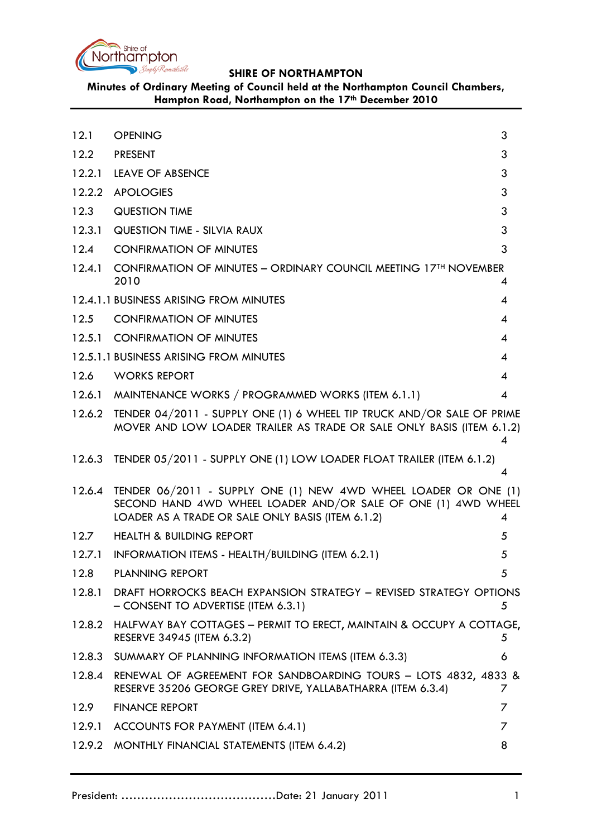

**Minutes of Ordinary Meeting of Council held at the Northampton Council Chambers, Hampton Road, Northampton on the 17th December 2010**

<span id="page-0-0"></span>

| 12.1   | <b>OPENING</b>                                                                                                                                                                        | 3 |
|--------|---------------------------------------------------------------------------------------------------------------------------------------------------------------------------------------|---|
| 12.2   | <b>PRESENT</b>                                                                                                                                                                        | 3 |
| 12.2.1 | <b>LEAVE OF ABSENCE</b>                                                                                                                                                               | 3 |
| 12.2.2 | <b>APOLOGIES</b>                                                                                                                                                                      | 3 |
| 12.3   | <b>QUESTION TIME</b>                                                                                                                                                                  | 3 |
| 12.3.1 | <b>QUESTION TIME - SILVIA RAUX</b>                                                                                                                                                    | 3 |
| 12.4   | <b>CONFIRMATION OF MINUTES</b>                                                                                                                                                        | 3 |
|        | 12.4.1 CONFIRMATION OF MINUTES - ORDINARY COUNCIL MEETING 17 <sup>TH</sup> NOVEMBER<br>2010                                                                                           | 4 |
|        | 12.4.1.1 BUSINESS ARISING FROM MINUTES                                                                                                                                                | 4 |
| 12.5   | <b>CONFIRMATION OF MINUTES</b>                                                                                                                                                        | 4 |
| 12.5.1 | <b>CONFIRMATION OF MINUTES</b>                                                                                                                                                        | 4 |
|        | 12.5.1.1 BUSINESS ARISING FROM MINUTES                                                                                                                                                | 4 |
| 12.6   | <b>WORKS REPORT</b>                                                                                                                                                                   | 4 |
|        | 12.6.1 MAINTENANCE WORKS / PROGRAMMED WORKS (ITEM 6.1.1)                                                                                                                              | 4 |
| 12.6.2 | TENDER 04/2011 - SUPPLY ONE (1) 6 WHEEL TIP TRUCK AND/OR SALE OF PRIME<br>MOVER AND LOW LOADER TRAILER AS TRADE OR SALE ONLY BASIS (ITEM 6.1.2)                                       | 4 |
|        | 12.6.3 TENDER 05/2011 - SUPPLY ONE (1) LOW LOADER FLOAT TRAILER (ITEM 6.1.2)                                                                                                          | 4 |
| 12.6.4 | TENDER 06/2011 - SUPPLY ONE (1) NEW 4WD WHEEL LOADER OR ONE (1)<br>SECOND HAND 4WD WHEEL LOADER AND/OR SALE OF ONE (1) 4WD WHEEL<br>LOADER AS A TRADE OR SALE ONLY BASIS (ITEM 6.1.2) | 4 |
| 12.7   | <b>HEALTH &amp; BUILDING REPORT</b>                                                                                                                                                   | 5 |
|        | 12.7.1 INFORMATION ITEMS - HEALTH/BUILDING (ITEM 6.2.1)                                                                                                                               | 5 |
| 12.8   | <b>PLANNING REPORT</b>                                                                                                                                                                | 5 |
| 12.8.1 | DRAFT HORROCKS BEACH EXPANSION STRATEGY - REVISED STRATEGY OPTIONS<br>- CONSENT TO ADVERTISE (ITEM 6.3.1)                                                                             | 5 |
| 12.8.2 | HALFWAY BAY COTTAGES – PERMIT TO ERECT, MAINTAIN & OCCUPY A COTTAGE,<br>RESERVE 34945 (ITEM 6.3.2)                                                                                    | 5 |
| 12.8.3 | SUMMARY OF PLANNING INFORMATION ITEMS (ITEM 6.3.3)                                                                                                                                    | 6 |
| 12.8.4 | RENEWAL OF AGREEMENT FOR SANDBOARDING TOURS - LOTS 4832, 4833 &<br>RESERVE 35206 GEORGE GREY DRIVE, YALLABATHARRA (ITEM 6.3.4)                                                        | 7 |
| 12.9   | <b>FINANCE REPORT</b>                                                                                                                                                                 | 7 |
| 12.9.1 | ACCOUNTS FOR PAYMENT (ITEM 6.4.1)                                                                                                                                                     | 7 |
| 12.9.2 | MONTHLY FINANCIAL STATEMENTS (ITEM 6.4.2)                                                                                                                                             | 8 |
|        |                                                                                                                                                                                       |   |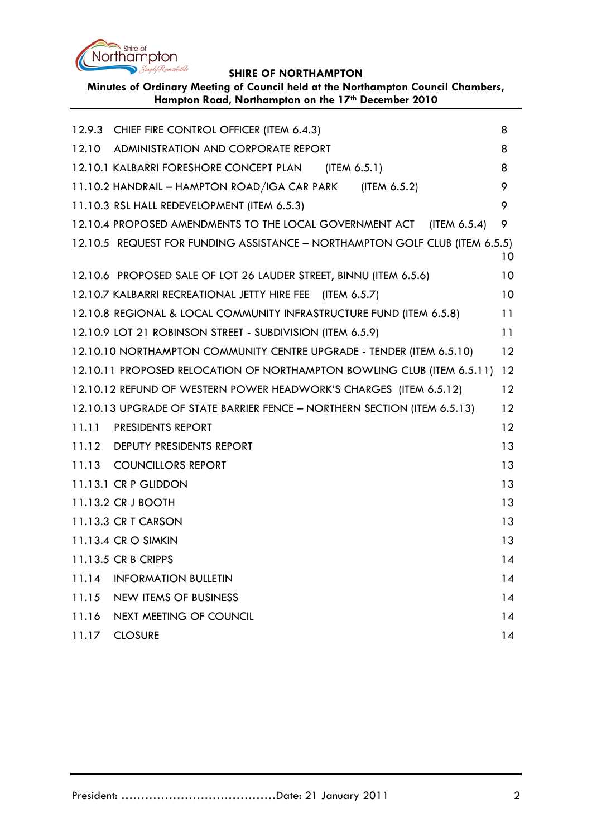

| Minutes of Ordinary Meeting of Council held at the Northampton Council Chambers, |
|----------------------------------------------------------------------------------|
| Hampton Road, Northampton on the 17th December 2010                              |

|                                                                                | 12.9.3 CHIEF FIRE CONTROL OFFICER (ITEM 6.4.3)                              | 8  |  |  |
|--------------------------------------------------------------------------------|-----------------------------------------------------------------------------|----|--|--|
|                                                                                | 12.10 ADMINISTRATION AND CORPORATE REPORT                                   | 8  |  |  |
|                                                                                | 12.10.1 KALBARRI FORESHORE CONCEPT PLAN (ITEM 6.5.1)                        | 8  |  |  |
|                                                                                | 11.10.2 HANDRAIL - HAMPTON ROAD/IGA CAR PARK (ITEM 6.5.2)                   | 9  |  |  |
|                                                                                | 11.10.3 RSL HALL REDEVELOPMENT (ITEM 6.5.3)                                 | 9  |  |  |
|                                                                                | 12.10.4 PROPOSED AMENDMENTS TO THE LOCAL GOVERNMENT ACT (ITEM 6.5.4)        | 9  |  |  |
|                                                                                | 12.10.5 REQUEST FOR FUNDING ASSISTANCE - NORTHAMPTON GOLF CLUB (ITEM 6.5.5) | 10 |  |  |
|                                                                                | 12.10.6 PROPOSED SALE OF LOT 26 LAUDER STREET, BINNU (ITEM 6.5.6)           | 10 |  |  |
|                                                                                | 12.10.7 KALBARRI RECREATIONAL JETTY HIRE FEE (ITEM 6.5.7)                   | 10 |  |  |
|                                                                                | 12.10.8 REGIONAL & LOCAL COMMUNITY INFRASTRUCTURE FUND (ITEM 6.5.8)         | 11 |  |  |
|                                                                                | 12.10.9 LOT 21 ROBINSON STREET - SUBDIVISION (ITEM 6.5.9)                   | 11 |  |  |
| 12.10.10 NORTHAMPTON COMMUNITY CENTRE UPGRADE - TENDER (ITEM 6.5.10)<br>12     |                                                                             |    |  |  |
| 12.10.11 PROPOSED RELOCATION OF NORTHAMPTON BOWLING CLUB (ITEM 6.5.11)<br>12   |                                                                             |    |  |  |
| 12<br>12.10.12 REFUND OF WESTERN POWER HEADWORK'S CHARGES (ITEM 6.5.12)        |                                                                             |    |  |  |
| 12<br>12.10.13 UPGRADE OF STATE BARRIER FENCE - NORTHERN SECTION (ITEM 6.5.13) |                                                                             |    |  |  |
| 11.11                                                                          | <b>PRESIDENTS REPORT</b>                                                    | 12 |  |  |
|                                                                                | 11.12 DEPUTY PRESIDENTS REPORT                                              | 13 |  |  |
|                                                                                | 11.13 COUNCILLORS REPORT                                                    | 13 |  |  |
|                                                                                | 11.13.1 CR P GLIDDON                                                        | 13 |  |  |
|                                                                                | 11.13.2 CR J BOOTH                                                          | 13 |  |  |
|                                                                                | 11.13.3 CR T CARSON                                                         | 13 |  |  |
|                                                                                | 11.13.4 CR O SIMKIN                                                         | 13 |  |  |
|                                                                                | 11.13.5 CR B CRIPPS                                                         | 14 |  |  |
| 11.14                                                                          | <b>INFORMATION BULLETIN</b>                                                 | 14 |  |  |
| 11.15                                                                          | NEW ITEMS OF BUSINESS                                                       | 14 |  |  |
| 11.16                                                                          | NEXT MEETING OF COUNCIL                                                     | 14 |  |  |
| 11.17                                                                          | <b>CLOSURE</b>                                                              | 14 |  |  |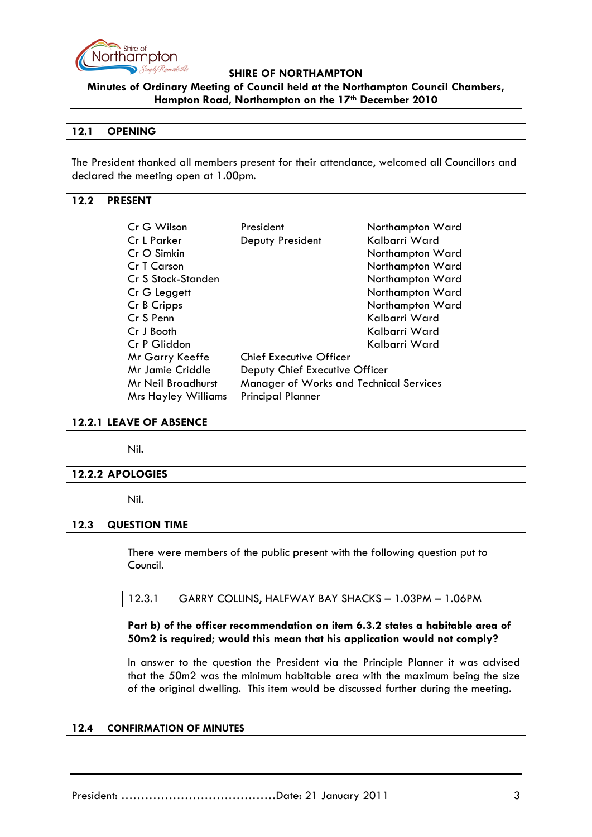

**Minutes of Ordinary Meeting of Council held at the Northampton Council Chambers, Hampton Road, Northampton on the 17th December 2010**

### **12.1 OPENING**

The President thanked all members present for their attendance, welcomed all Councillors and declared the meeting open at 1.00pm.

### <span id="page-2-0"></span>**12.2 PRESENT**

| Cr G Wilson                | President                               | Northampton Ward |  |
|----------------------------|-----------------------------------------|------------------|--|
| Cr L Parker                | Deputy President                        | Kalbarri Ward    |  |
| Cr O Simkin                |                                         | Northampton Ward |  |
| Cr T Carson                |                                         | Northampton Ward |  |
| Cr S Stock-Standen         |                                         | Northampton Ward |  |
| Cr G Leggett               |                                         | Northampton Ward |  |
| Cr B Cripps                |                                         | Northampton Ward |  |
| Cr S Penn                  |                                         | Kalbarri Ward    |  |
| Cr J Booth                 |                                         | Kalbarri Ward    |  |
| Cr P Gliddon               |                                         | Kalbarri Ward    |  |
| Mr Garry Keeffe            | <b>Chief Executive Officer</b>          |                  |  |
| <b>Mr Jamie Criddle</b>    | Deputy Chief Executive Officer          |                  |  |
| Mr Neil Broadhurst         | Manager of Works and Technical Services |                  |  |
| <b>Mrs Hayley Williams</b> | <b>Principal Planner</b>                |                  |  |

#### <span id="page-2-1"></span>**12.2.1 LEAVE OF ABSENCE**

Nil.

#### <span id="page-2-2"></span>**12.2.2 APOLOGIES**

Nil.

### <span id="page-2-3"></span>**12.3 QUESTION TIME**

There were members of the public present with the following question put to Council.

12.3.1 GARRY COLLINS, HALFWAY BAY SHACKS – 1.03PM – 1.06PM

### **Part b) of the officer recommendation on item 6.3.2 states a habitable area of 50m2 is required; would this mean that his application would not comply?**

In answer to the question the President via the Principle Planner it was advised that the 50m2 was the minimum habitable area with the maximum being the size of the original dwelling. This item would be discussed further during the meeting.

#### <span id="page-2-5"></span><span id="page-2-4"></span>**12.4 CONFIRMATION OF MINUTES**

President: …………………………………Date: 21 January 2011 3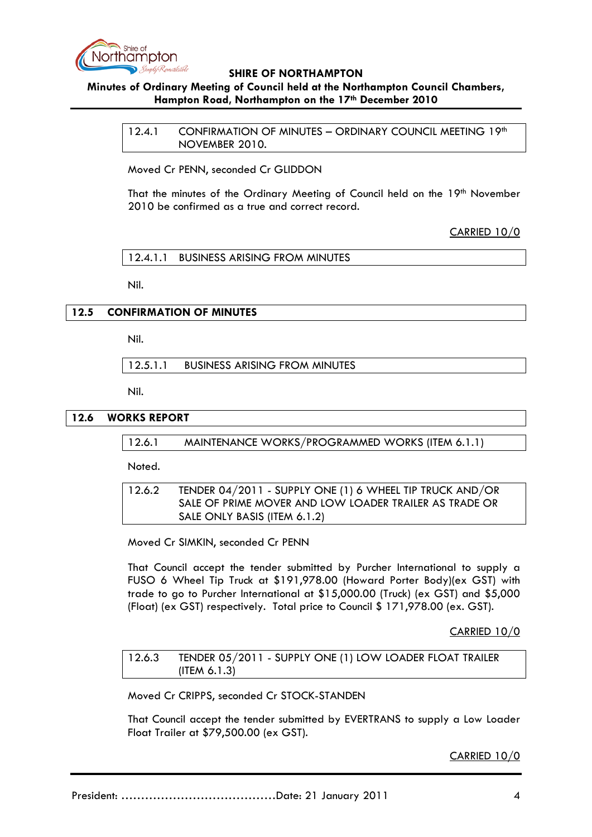

## **Minutes of Ordinary Meeting of Council held at the Northampton Council Chambers, Hampton Road, Northampton on the 17th December 2010**

12.4.1 CONFIRMATION OF MINUTES - ORDINARY COUNCIL MEETING 19th NOVEMBER 2010.

Moved Cr PENN, seconded Cr GLIDDON

That the minutes of the Ordinary Meeting of Council held on the 19<sup>th</sup> November 2010 be confirmed as a true and correct record.

CARRIED 10/0

12.4.1.1 BUSINESS ARISING FROM MINUTES

Nil.

## <span id="page-3-0"></span>**12.5 CONFIRMATION OF MINUTES**

Nil.

12.5.1.1 BUSINESS ARISING FROM MINUTES

Nil.

### **12.6 WORKS REPORT**

12.6.1 MAINTENANCE WORKS/PROGRAMMED WORKS (ITEM 6.1.1)

Noted.

12.6.2 TENDER 04/2011 - SUPPLY ONE (1) 6 WHEEL TIP TRUCK AND/OR SALE OF PRIME MOVER AND LOW LOADER TRAILER AS TRADE OR SALE ONLY BASIS (ITEM 6.1.2)

Moved Cr SIMKIN, seconded Cr PENN

That Council accept the tender submitted by Purcher International to supply a FUSO 6 Wheel Tip Truck at \$191,978.00 (Howard Porter Body)(ex GST) with trade to go to Purcher International at \$15,000.00 (Truck) (ex GST) and \$5,000 (Float) (ex GST) respectively. Total price to Council \$ 171,978.00 (ex. GST).

CARRIED 10/0

12.6.3 TENDER 05/2011 - SUPPLY ONE (1) LOW LOADER FLOAT TRAILER (ITEM 6.1.3)

Moved Cr CRIPPS, seconded Cr STOCK-STANDEN

That Council accept the tender submitted by EVERTRANS to supply a Low Loader Float Trailer at \$79,500.00 (ex GST).

CARRIED 10/0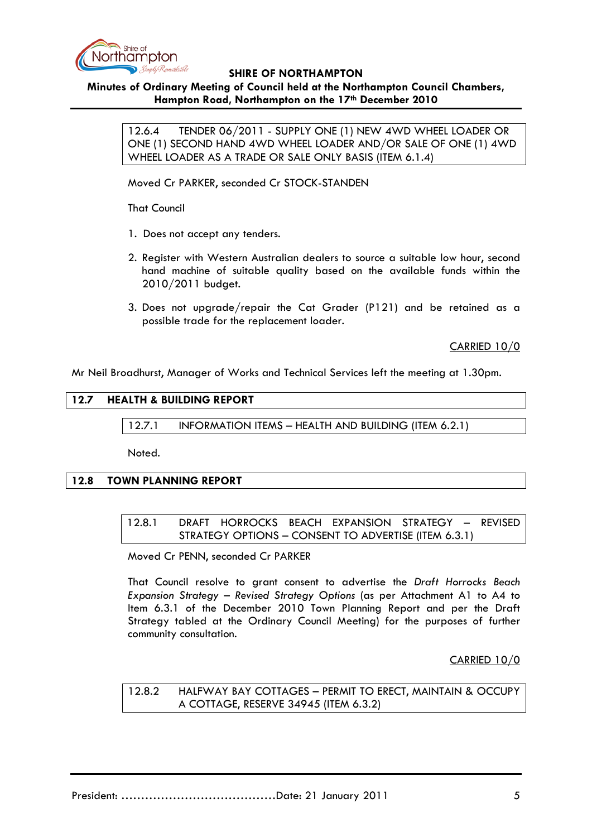

## **Minutes of Ordinary Meeting of Council held at the Northampton Council Chambers, Hampton Road, Northampton on the 17th December 2010**

12.6.4 TENDER 06/2011 - SUPPLY ONE (1) NEW 4WD WHEEL LOADER OR ONE (1) SECOND HAND 4WD WHEEL LOADER AND/OR SALE OF ONE (1) 4WD WHEEL LOADER AS A TRADE OR SALE ONLY BASIS (ITEM 6.1.4)

Moved Cr PARKER, seconded Cr STOCK-STANDEN

That Council

- 1. Does not accept any tenders.
- 2. Register with Western Australian dealers to source a suitable low hour, second hand machine of suitable quality based on the available funds within the 2010/2011 budget.
- 3. Does not upgrade/repair the Cat Grader (P121) and be retained as a possible trade for the replacement loader.

CARRIED 10/0

Mr Neil Broadhurst, Manager of Works and Technical Services left the meeting at 1.30pm.

## **12.7 HEALTH & BUILDING REPORT**

12.7.1 INFORMATION ITEMS – HEALTH AND BUILDING (ITEM 6.2.1)

Noted.

### **12.8 TOWN PLANNING REPORT**

12.8.1 DRAFT HORROCKS BEACH EXPANSION STRATEGY – REVISED STRATEGY OPTIONS – CONSENT TO ADVERTISE (ITEM 6.3.1)

Moved Cr PENN, seconded Cr PARKER

That Council resolve to grant consent to advertise the *Draft Horrocks Beach Expansion Strategy – Revised Strategy Options* (as per Attachment A1 to A4 to Item 6.3.1 of the December 2010 Town Planning Report and per the Draft Strategy tabled at the Ordinary Council Meeting) for the purposes of further community consultation.

CARRIED 10/0

12.8.2 HALFWAY BAY COTTAGES – PERMIT TO ERECT, MAINTAIN & OCCUPY A COTTAGE, RESERVE 34945 (ITEM 6.3.2)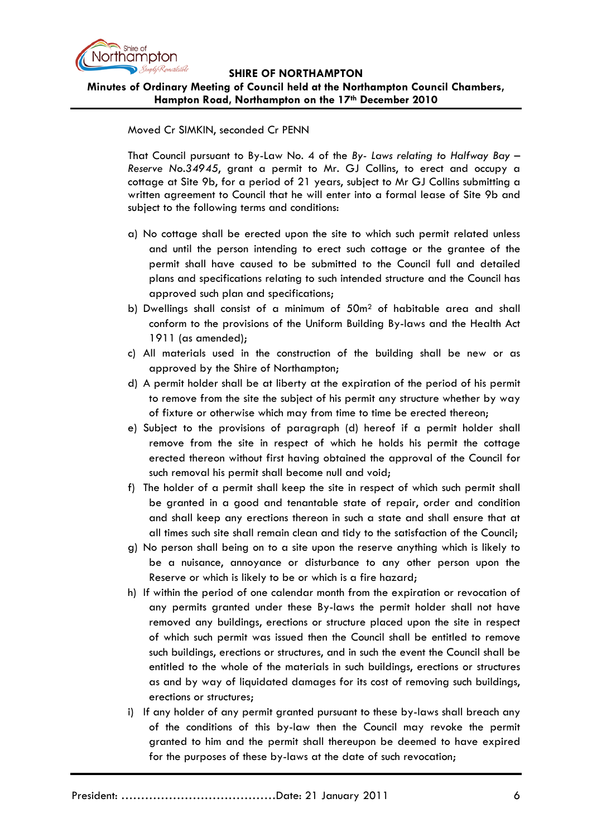

**Minutes of Ordinary Meeting of Council held at the Northampton Council Chambers, Hampton Road, Northampton on the 17th December 2010**

Moved Cr SIMKIN, seconded Cr PENN

That Council pursuant to By-Law No. 4 of the *By- Laws relating to Halfway Bay – Reserve No.34945*, grant a permit to Mr. GJ Collins, to erect and occupy a cottage at Site 9b, for a period of 21 years, subject to Mr GJ Collins submitting a written agreement to Council that he will enter into a formal lease of Site 9b and subject to the following terms and conditions:

- a) No cottage shall be erected upon the site to which such permit related unless and until the person intending to erect such cottage or the grantee of the permit shall have caused to be submitted to the Council full and detailed plans and specifications relating to such intended structure and the Council has approved such plan and specifications;
- b) Dwellings shall consist of a minimum of  $50m<sup>2</sup>$  of habitable area and shall conform to the provisions of the Uniform Building By-laws and the Health Act 1911 (as amended);
- c) All materials used in the construction of the building shall be new or as approved by the Shire of Northampton;
- d) A permit holder shall be at liberty at the expiration of the period of his permit to remove from the site the subject of his permit any structure whether by way of fixture or otherwise which may from time to time be erected thereon;
- e) Subject to the provisions of paragraph (d) hereof if a permit holder shall remove from the site in respect of which he holds his permit the cottage erected thereon without first having obtained the approval of the Council for such removal his permit shall become null and void;
- f) The holder of a permit shall keep the site in respect of which such permit shall be granted in a good and tenantable state of repair, order and condition and shall keep any erections thereon in such a state and shall ensure that at all times such site shall remain clean and tidy to the satisfaction of the Council;
- g) No person shall being on to a site upon the reserve anything which is likely to be a nuisance, annoyance or disturbance to any other person upon the Reserve or which is likely to be or which is a fire hazard;
- h) If within the period of one calendar month from the expiration or revocation of any permits granted under these By-laws the permit holder shall not have removed any buildings, erections or structure placed upon the site in respect of which such permit was issued then the Council shall be entitled to remove such buildings, erections or structures, and in such the event the Council shall be entitled to the whole of the materials in such buildings, erections or structures as and by way of liquidated damages for its cost of removing such buildings, erections or structures;
- i) If any holder of any permit granted pursuant to these by-laws shall breach any of the conditions of this by-law then the Council may revoke the permit granted to him and the permit shall thereupon be deemed to have expired for the purposes of these by-laws at the date of such revocation;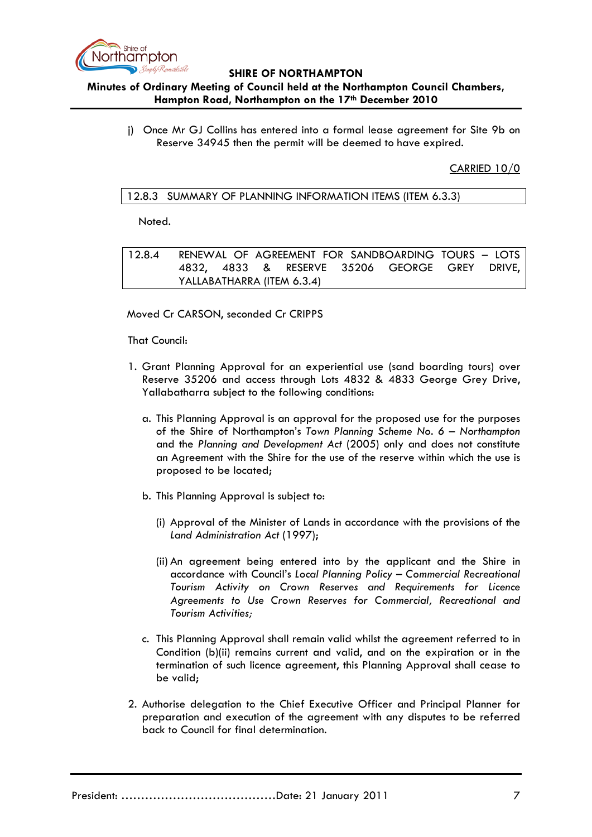

## **Minutes of Ordinary Meeting of Council held at the Northampton Council Chambers, Hampton Road, Northampton on the 17th December 2010**

j) Once Mr GJ Collins has entered into a formal lease agreement for Site 9b on Reserve 34945 then the permit will be deemed to have expired.

CARRIED 10/0

### 12.8.3 SUMMARY OF PLANNING INFORMATION ITEMS (ITEM 6.3.3)

Noted.

12.8.4 RENEWAL OF AGREEMENT FOR SANDBOARDING TOURS – LOTS 4832, 4833 & RESERVE 35206 GEORGE GREY DRIVE, YALLABATHARRA (ITEM 6.3.4)

Moved Cr CARSON, seconded Cr CRIPPS

That Council:

- 1. Grant Planning Approval for an experiential use (sand boarding tours) over Reserve 35206 and access through Lots 4832 & 4833 George Grey Drive, Yallabatharra subject to the following conditions:
	- a. This Planning Approval is an approval for the proposed use for the purposes of the Shire of Northampton's *Town Planning Scheme No. 6 – Northampton* and the *Planning and Development Act* (2005) only and does not constitute an Agreement with the Shire for the use of the reserve within which the use is proposed to be located;
	- b. This Planning Approval is subject to:
		- (i) Approval of the Minister of Lands in accordance with the provisions of the *Land Administration Act* (1997);
		- (ii) An agreement being entered into by the applicant and the Shire in accordance with Council's *Local Planning Policy – Commercial Recreational Tourism Activity on Crown Reserves and Requirements for Licence Agreements to Use Crown Reserves for Commercial, Recreational and Tourism Activities;*
	- c. This Planning Approval shall remain valid whilst the agreement referred to in Condition (b)(ii) remains current and valid, and on the expiration or in the termination of such licence agreement, this Planning Approval shall cease to be valid;
- 2. Authorise delegation to the Chief Executive Officer and Principal Planner for preparation and execution of the agreement with any disputes to be referred back to Council for final determination.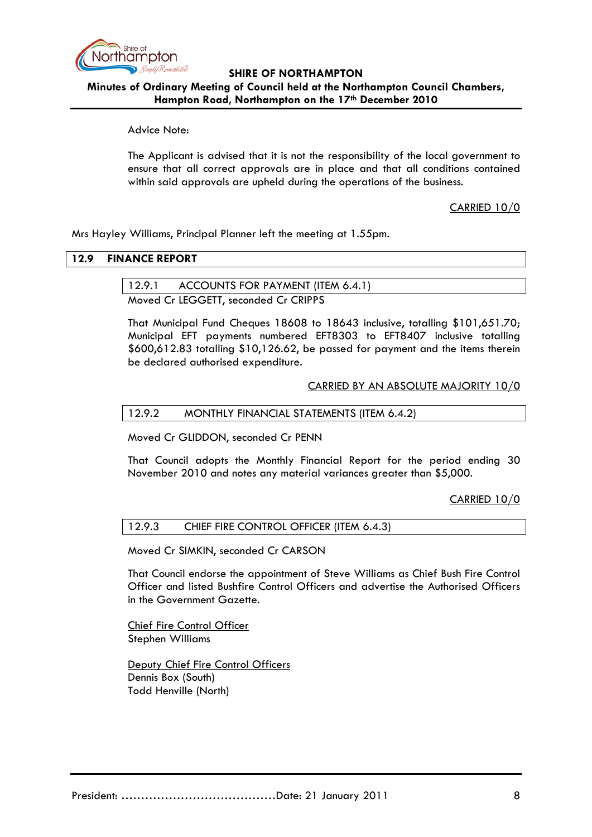

**Minutes of Ordinary Meeting of Council held at the Northampton Council Chambers, Hampton Road, Northampton on the 17th December 2010**

Advice Note:

The Applicant is advised that it is not the responsibility of the local government to ensure that all correct approvals are in place and that all conditions contained within said approvals are upheld during the operations of the business.

CARRIED 10/0

Mrs Hayley Williams, Principal Planner left the meeting at 1.55pm.

### **12.9 FINANCE REPORT**

## 12.9.1 ACCOUNTS FOR PAYMENT (ITEM 6.4.1)

Moved Cr LEGGETT, seconded Cr CRIPPS

That Municipal Fund Cheques 18608 to 18643 inclusive, totalling \$101,651.70; Municipal EFT payments numbered EFT8303 to EFT8407 inclusive totalling \$600,612.83 totalling \$10,126.62, be passed for payment and the items therein be declared authorised expenditure.

### CARRIED BY AN ABSOLUTE MAJORITY 10/0

#### 12.9.2 MONTHLY FINANCIAL STATEMENTS (ITEM 6.4.2)

Moved Cr GLIDDON, seconded Cr PENN

That Council adopts the Monthly Financial Report for the period ending 30 November 2010 and notes any material variances greater than \$5,000.

CARRIED 10/0

### 12.9.3 CHIEF FIRE CONTROL OFFICER (ITEM 6.4.3)

Moved Cr SIMKIN, seconded Cr CARSON

That Council endorse the appointment of Steve Williams as Chief Bush Fire Control Officer and listed Bushfire Control Officers and advertise the Authorised Officers in the Government Gazette.

Chief Fire Control Officer Stephen Williams

Deputy Chief Fire Control Officers Dennis Box (South) Todd Henville (North)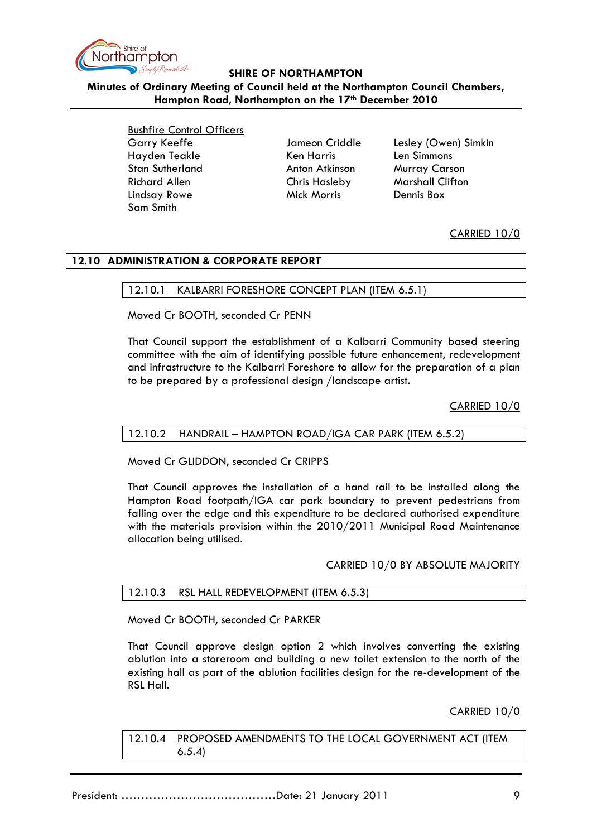

**Minutes of Ordinary Meeting of Council held at the Northampton Council Chambers, Hampton Road, Northampton on the 17th December 2010**

> Bushfire Control Officers Garry Keeffe **Garry Keeffe** Jameon Criddle Lesley (Owen) Simkin Hayden Teakle Ken Harris Len Simmons Stan Sutherland **Anton Atkinson** Murray Carson Richard Allen Chris Hasleby Marshall Clifton Lindsay Rowe Mick Morris Dennis Box Sam Smith

CARRIED 10/0

## **12.10 ADMINISTRATION & CORPORATE REPORT**

### 12.10.1 KALBARRI FORESHORE CONCEPT PLAN (ITEM 6.5.1)

Moved Cr BOOTH, seconded Cr PENN

That Council support the establishment of a Kalbarri Community based steering committee with the aim of identifying possible future enhancement, redevelopment and infrastructure to the Kalbarri Foreshore to allow for the preparation of a plan to be prepared by a professional design /landscape artist.

CARRIED 10/0

### 12.10.2 HANDRAIL – HAMPTON ROAD/IGA CAR PARK (ITEM 6.5.2)

Moved Cr GLIDDON, seconded Cr CRIPPS

That Council approves the installation of a hand rail to be installed along the Hampton Road footpath/IGA car park boundary to prevent pedestrians from falling over the edge and this expenditure to be declared authorised expenditure with the materials provision within the 2010/2011 Municipal Road Maintenance allocation being utilised.

### CARRIED 10/0 BY ABSOLUTE MAJORITY

# 12.10.3 RSL HALL REDEVELOPMENT (ITEM 6.5.3)

Moved Cr BOOTH, seconded Cr PARKER

That Council approve design option 2 which involves converting the existing ablution into a storeroom and building a new toilet extension to the north of the existing hall as part of the ablution facilities design for the re-development of the RSL Hall.

CARRIED 10/0

12.10.4 PROPOSED AMENDMENTS TO THE LOCAL GOVERNMENT ACT (ITEM 6.5.4)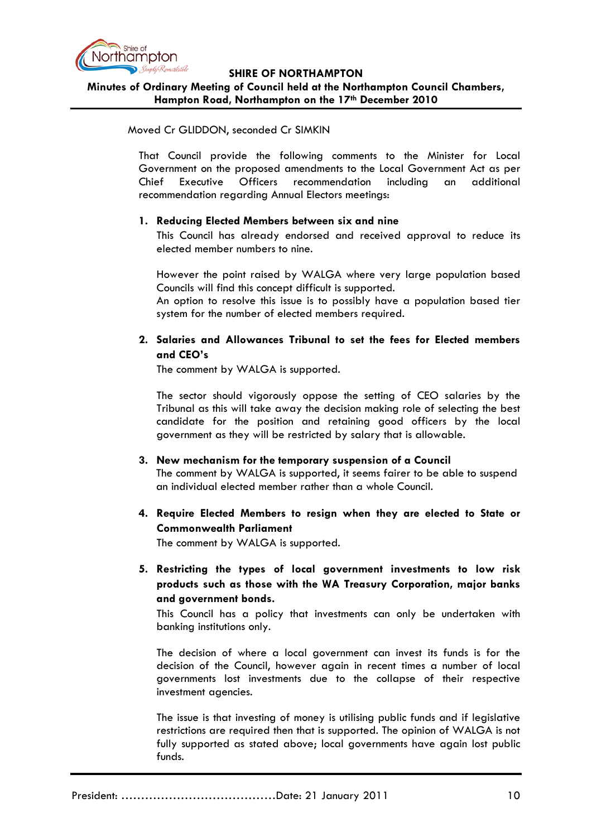

**Minutes of Ordinary Meeting of Council held at the Northampton Council Chambers, Hampton Road, Northampton on the 17th December 2010**

### Moved Cr GLIDDON, seconded Cr SIMKIN

That Council provide the following comments to the Minister for Local Government on the proposed amendments to the Local Government Act as per Chief Executive Officers recommendation including an additional recommendation regarding Annual Electors meetings:

### **1. Reducing Elected Members between six and nine**

This Council has already endorsed and received approval to reduce its elected member numbers to nine.

However the point raised by WALGA where very large population based Councils will find this concept difficult is supported.

An option to resolve this issue is to possibly have a population based tier system for the number of elected members required.

## **2. Salaries and Allowances Tribunal to set the fees for Elected members and CEO's**

The comment by WALGA is supported.

The sector should vigorously oppose the setting of CEO salaries by the Tribunal as this will take away the decision making role of selecting the best candidate for the position and retaining good officers by the local government as they will be restricted by salary that is allowable.

## **3. New mechanism for the temporary suspension of a Council**

The comment by WALGA is supported, it seems fairer to be able to suspend an individual elected member rather than a whole Council.

# **4. Require Elected Members to resign when they are elected to State or Commonwealth Parliament**

The comment by WALGA is supported.

**5. Restricting the types of local government investments to low risk products such as those with the WA Treasury Corporation, major banks and government bonds.**

This Council has a policy that investments can only be undertaken with banking institutions only.

The decision of where a local government can invest its funds is for the decision of the Council, however again in recent times a number of local governments lost investments due to the collapse of their respective investment agencies.

The issue is that investing of money is utilising public funds and if legislative restrictions are required then that is supported. The opinion of WALGA is not fully supported as stated above; local governments have again lost public funds.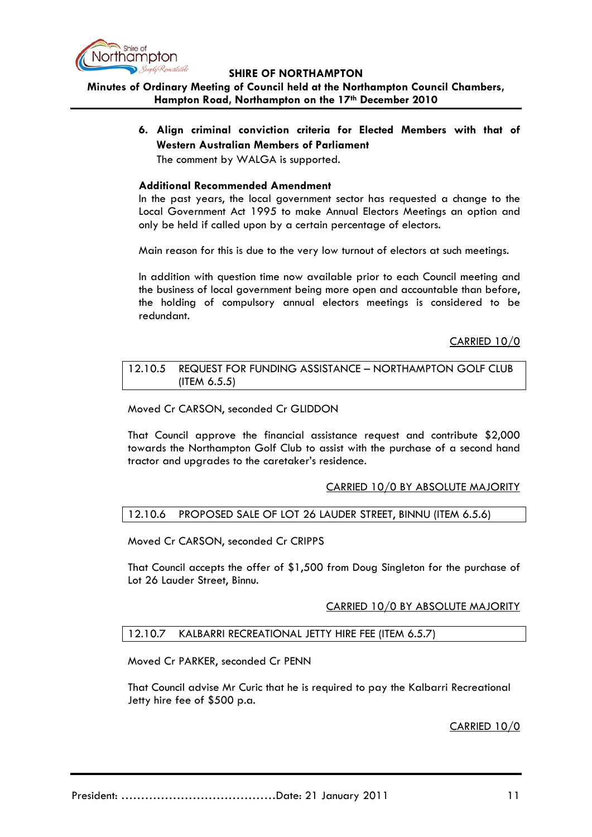

## **Minutes of Ordinary Meeting of Council held at the Northampton Council Chambers, Hampton Road, Northampton on the 17th December 2010**

**6. Align criminal conviction criteria for Elected Members with that of Western Australian Members of Parliament**

The comment by WALGA is supported.

### **Additional Recommended Amendment**

In the past years, the local government sector has requested a change to the Local Government Act 1995 to make Annual Electors Meetings an option and only be held if called upon by a certain percentage of electors.

Main reason for this is due to the very low turnout of electors at such meetings.

In addition with question time now available prior to each Council meeting and the business of local government being more open and accountable than before, the holding of compulsory annual electors meetings is considered to be redundant.

CARRIED 10/0

#### 12.10.5 REQUEST FOR FUNDING ASSISTANCE – NORTHAMPTON GOLF CLUB (ITEM 6.5.5)

## Moved Cr CARSON, seconded Cr GLIDDON

That Council approve the financial assistance request and contribute \$2,000 towards the Northampton Golf Club to assist with the purchase of a second hand tractor and upgrades to the caretaker's residence.

## CARRIED 10/0 BY ABSOLUTE MAJORITY

## 12.10.6 PROPOSED SALE OF LOT 26 LAUDER STREET, BINNU (ITEM 6.5.6)

Moved Cr CARSON, seconded Cr CRIPPS

That Council accepts the offer of \$1,500 from Doug Singleton for the purchase of Lot 26 Lauder Street, Binnu.

### CARRIED 10/0 BY ABSOLUTE MAJORITY

### 12.10.7 KALBARRI RECREATIONAL JETTY HIRE FEE (ITEM 6.5.7)

Moved Cr PARKER, seconded Cr PENN

That Council advise Mr Curic that he is required to pay the Kalbarri Recreational Jetty hire fee of \$500 p.a.

### CARRIED 10/0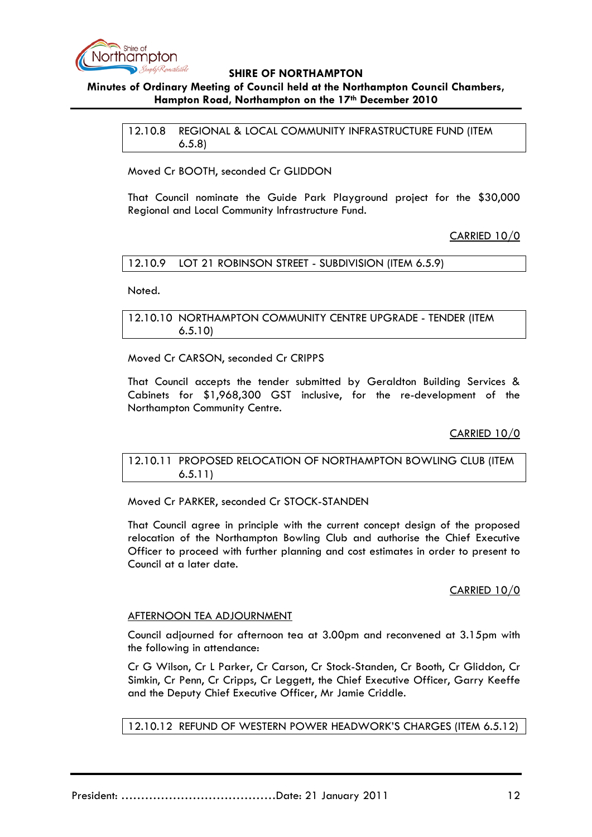

## **Minutes of Ordinary Meeting of Council held at the Northampton Council Chambers, Hampton Road, Northampton on the 17th December 2010**

12.10.8 REGIONAL & LOCAL COMMUNITY INFRASTRUCTURE FUND (ITEM 6.5.8)

Moved Cr BOOTH, seconded Cr GLIDDON

That Council nominate the Guide Park Playground project for the \$30,000 Regional and Local Community Infrastructure Fund.

CARRIED 10/0

### 12.10.9 LOT 21 ROBINSON STREET - SUBDIVISION (ITEM 6.5.9)

Noted.

12.10.10 NORTHAMPTON COMMUNITY CENTRE UPGRADE - TENDER (ITEM 6.5.10)

Moved Cr CARSON, seconded Cr CRIPPS

That Council accepts the tender submitted by Geraldton Building Services & Cabinets for \$1,968,300 GST inclusive, for the re-development of the Northampton Community Centre.

CARRIED 10/0

### 12.10.11 PROPOSED RELOCATION OF NORTHAMPTON BOWLING CLUB (ITEM 6.5.11)

Moved Cr PARKER, seconded Cr STOCK-STANDEN

That Council agree in principle with the current concept design of the proposed relocation of the Northampton Bowling Club and authorise the Chief Executive Officer to proceed with further planning and cost estimates in order to present to Council at a later date.

### CARRIED 10/0

### AFTERNOON TEA ADJOURNMENT

Council adjourned for afternoon tea at 3.00pm and reconvened at 3.15pm with the following in attendance:

Cr G Wilson, Cr L Parker, Cr Carson, Cr Stock-Standen, Cr Booth, Cr Gliddon, Cr Simkin, Cr Penn, Cr Cripps, Cr Leggett, the Chief Executive Officer, Garry Keeffe and the Deputy Chief Executive Officer, Mr Jamie Criddle.

12.10.12 REFUND OF WESTERN POWER HEADWORK'S CHARGES (ITEM 6.5.12)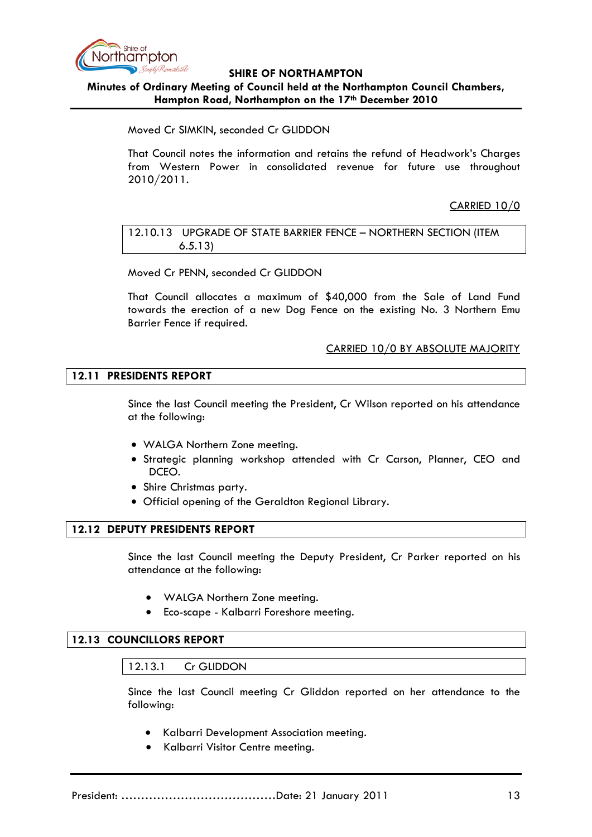

**Minutes of Ordinary Meeting of Council held at the Northampton Council Chambers, Hampton Road, Northampton on the 17th December 2010**

Moved Cr SIMKIN, seconded Cr GLIDDON

That Council notes the information and retains the refund of Headwork's Charges from Western Power in consolidated revenue for future use throughout 2010/2011.

CARRIED 10/0

12.10.13 UPGRADE OF STATE BARRIER FENCE – NORTHERN SECTION (ITEM 6.5.13)

Moved Cr PENN, seconded Cr GLIDDON

That Council allocates a maximum of \$40,000 from the Sale of Land Fund towards the erection of a new Dog Fence on the existing No. 3 Northern Emu Barrier Fence if required.

CARRIED 10/0 BY ABSOLUTE MAJORITY

### **12.11 PRESIDENTS REPORT**

Since the last Council meeting the President, Cr Wilson reported on his attendance at the following:

- WALGA Northern Zone meeting.
- Strategic planning workshop attended with Cr Carson, Planner, CEO and DCEO.
- Shire Christmas party.
- Official opening of the Geraldton Regional Library.

### **12.12 DEPUTY PRESIDENTS REPORT**

Since the last Council meeting the Deputy President, Cr Parker reported on his attendance at the following:

- WALGA Northern Zone meeting.
- Eco-scape Kalbarri Foreshore meeting.

### **12.13 COUNCILLORS REPORT**

### 12.13.1 Cr GLIDDON

Since the last Council meeting Cr Gliddon reported on her attendance to the following:

- Kalbarri Development Association meeting.
- Kalbarri Visitor Centre meeting.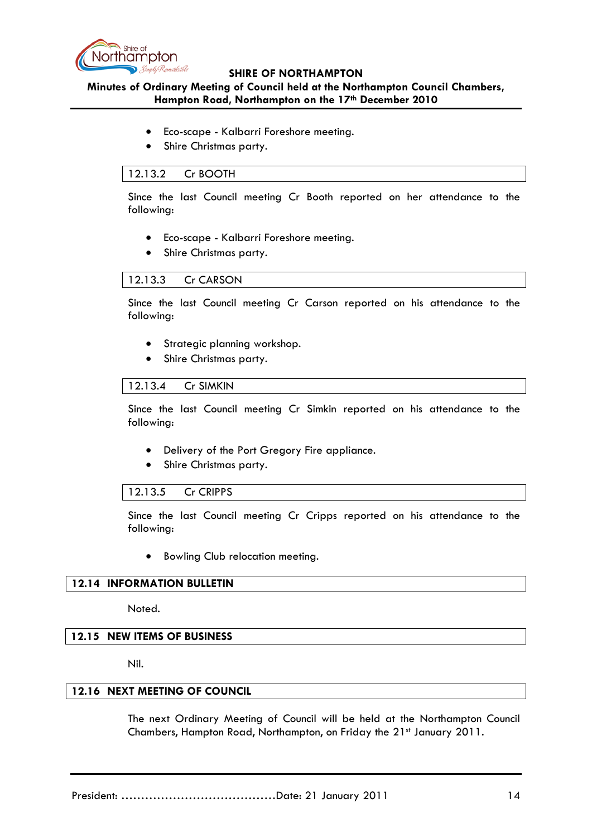

## **Minutes of Ordinary Meeting of Council held at the Northampton Council Chambers, Hampton Road, Northampton on the 17th December 2010**

- Eco-scape Kalbarri Foreshore meeting.
- Shire Christmas party.

### 12.13.2 Cr BOOTH

Since the last Council meeting Cr Booth reported on her attendance to the following:

- Eco-scape Kalbarri Foreshore meeting.
- Shire Christmas party.

### 12.13.3 Cr CARSON

Since the last Council meeting Cr Carson reported on his attendance to the following:

- Strategic planning workshop.
- Shire Christmas party.

### 12.13.4 Cr SIMKIN

Since the last Council meeting Cr Simkin reported on his attendance to the following:

- Delivery of the Port Gregory Fire appliance.
- Shire Christmas party.

### 12.13.5 Cr CRIPPS

Since the last Council meeting Cr Cripps reported on his attendance to the following:

• Bowling Club relocation meeting.

## **12.14 INFORMATION BULLETIN**

Noted.

## **12.15 NEW ITEMS OF BUSINESS**

Nil.

### **12.16 NEXT MEETING OF COUNCIL**

The next Ordinary Meeting of Council will be held at the Northampton Council Chambers, Hampton Road, Northampton, on Friday the 21st January 2011.